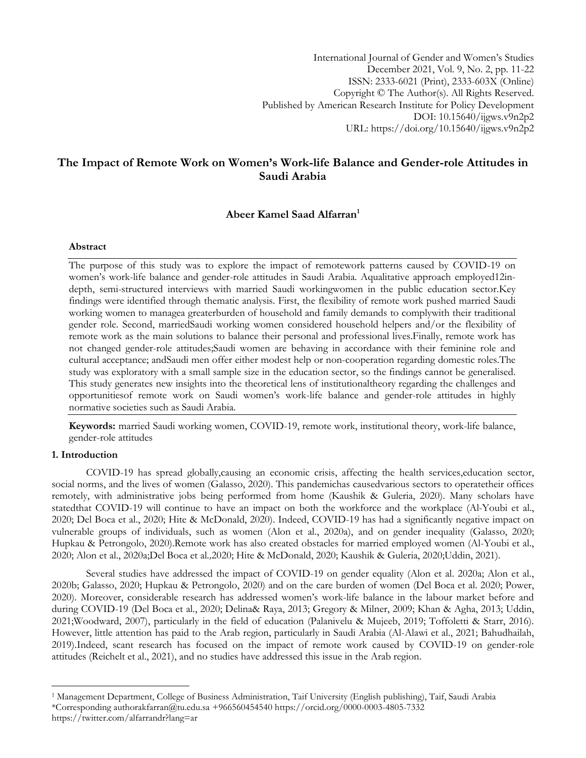International Journal of Gender and Women"s Studies December 2021, Vol. 9, No. 2, pp. 11-22 ISSN: 2333-6021 (Print), 2333-603X (Online) Copyright © The Author(s). All Rights Reserved. Published by American Research Institute for Policy Development DOI: 10.15640/ijgws.v9n2p2 URL: https://doi.org/10.15640/ijgws.v9n2p2

# **The Impact of Remote Work on Women's Work-life Balance and Gender-role Attitudes in Saudi Arabia**

## **Abeer Kamel Saad Alfarran<sup>1</sup>**

### **Abstract**

The purpose of this study was to explore the impact of remotework patterns caused by COVID-19 on women"s work-life balance and gender-role attitudes in Saudi Arabia. Aqualitative approach employed12indepth, semi-structured interviews with married Saudi workingwomen in the public education sector.Key findings were identified through thematic analysis. First, the flexibility of remote work pushed married Saudi working women to managea greaterburden of household and family demands to complywith their traditional gender role. Second, marriedSaudi working women considered household helpers and/or the flexibility of remote work as the main solutions to balance their personal and professional lives.Finally, remote work has not changed gender-role attitudes;Saudi women are behaving in accordance with their feminine role and cultural acceptance; andSaudi men offer either modest help or non-cooperation regarding domestic roles.The study was exploratory with a small sample size in the education sector, so the findings cannot be generalised. This study generates new insights into the theoretical lens of institutionaltheory regarding the challenges and opportunitiesof remote work on Saudi women"s work-life balance and gender-role attitudes in highly normative societies such as Saudi Arabia.

**Keywords:** married Saudi working women, COVID-19, remote work, institutional theory, work-life balance, gender-role attitudes

### **1. Introduction**

l

COVID-19 has spread globally,causing an economic crisis, affecting the health services,education sector, social norms, and the lives of women (Galasso, 2020). This pandemichas causedvarious sectors to operatetheir offices remotely, with administrative jobs being performed from home (Kaushik & Guleria, 2020). Many scholars have statedthat COVID-19 will continue to have an impact on both the workforce and the workplace (Al-Youbi et al., 2020; Del Boca et al., 2020; Hite & McDonald, 2020). Indeed, COVID-19 has had a significantly negative impact on vulnerable groups of individuals, such as women (Alon et al., 2020a), and on gender inequality (Galasso, 2020; Hupkau & Petrongolo, 2020).Remote work has also created obstacles for married employed women (Al-Youbi et al., 2020; Alon et al., 2020a;Del Boca et al*.,*2020; Hite & McDonald, 2020; Kaushik & Guleria, 2020;Uddin, 2021).

Several studies have addressed the impact of COVID-19 on gender equality (Alon et al. 2020a; Alon et al., 2020b; Galasso, 2020; Hupkau & Petrongolo, 2020) and on the care burden of women (Del Boca et al. 2020; Power, 2020). Moreover, considerable research has addressed women"s work-life balance in the labour market before and during COVID-19 (Del Boca et al., 2020; Delina& Raya, 2013; Gregory & Milner, 2009; Khan & Agha, 2013; Uddin, 2021;Woodward, 2007), particularly in the field of education (Palanivelu & Mujeeb, 2019; Toffoletti & Starr, 2016). However, little attention has paid to the Arab region, particularly in Saudi Arabia (Al-Alawi et al., 2021; Bahudhailah, 2019).Indeed, scant research has focused on the impact of remote work caused by COVID-19 on gender-role attitudes (Reichelt et al., 2021), and no studies have addressed this issue in the Arab region.

<sup>1</sup> Management Department, College of Business Administration, Taif University (English publishing), Taif, Saudi Arabia \*Corresponding autho[rakfarran@tu.edu.sa](mailto:akfarran@tu.edu.sa) +966560454540<https://orcid.org/0000-0003-4805-7332> https://twitter.com/alfarrandr?lang=ar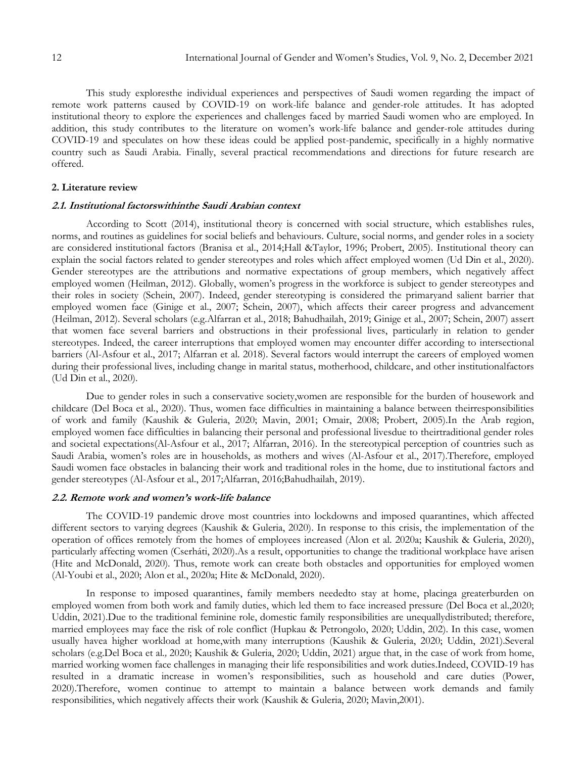This study exploresthe individual experiences and perspectives of Saudi women regarding the impact of remote work patterns caused by COVID-19 on work-life balance and gender-role attitudes. It has adopted institutional theory to explore the experiences and challenges faced by married Saudi women who are employed. In addition, this study contributes to the literature on women"s work-life balance and gender-role attitudes during COVID-19 and speculates on how these ideas could be applied post-pandemic, specifically in a highly normative country such as Saudi Arabia. Finally, several practical recommendations and directions for future research are offered.

#### **2. Literature review**

### **2.1. Institutional factorswithinthe Saudi Arabian context**

According to Scott (2014), institutional theory is concerned with social structure, which establishes rules, norms, and routines as guidelines for social beliefs and behaviours. Culture, social norms, and gender roles in a society are considered institutional factors (Branisa et al., 2014;Hall &Taylor, 1996; Probert, 2005). Institutional theory can explain the social factors related to gender stereotypes and roles which affect employed women (Ud Din et al., 2020). Gender stereotypes are the attributions and normative expectations of group members, which negatively affect employed women (Heilman, 2012). Globally, women"s progress in the workforce is subject to gender stereotypes and their roles in society (Schein, 2007). Indeed, gender stereotyping is considered the primaryand salient barrier that employed women face (Ginige et al., 2007; Schein, 2007), which affects their career progress and advancement (Heilman, 2012). Several scholars (e.g.Alfarran et al., 2018; Bahudhailah, 2019; Ginige et al., 2007; Schein, 2007) assert that women face several barriers and obstructions in their professional lives, particularly in relation to gender stereotypes. Indeed, the career interruptions that employed women may encounter differ according to intersectional barriers (Al-Asfour et al., 2017; Alfarran et al. 2018). Several factors would interrupt the careers of employed women during their professional lives, including change in marital status, motherhood, childcare, and other institutionalfactors (Ud Din et al., 2020).

Due to gender roles in such a conservative society,women are responsible for the burden of housework and childcare (Del Boca et al., 2020). Thus, women face difficulties in maintaining a balance between theirresponsibilities of work and family (Kaushik & Guleria, 2020; Mavin, 2001; Omair, 2008; Probert, 2005).In the Arab region, employed women face difficulties in balancing their personal and professional livesdue to theirtraditional gender roles and societal expectations(Al-Asfour et al., 2017; Alfarran, 2016). In the stereotypical perception of countries such as Saudi Arabia, women"s roles are in households, as mothers and wives (Al-Asfour et al., 2017).Therefore, employed Saudi women face obstacles in balancing their work and traditional roles in the home, due to institutional factors and gender stereotypes (Al-Asfour et al., 2017;Alfarran, 2016;Bahudhailah, 2019).

#### **2.2. Remote work and women's work-life balance**

The COVID-19 pandemic drove most countries into lockdowns and imposed quarantines, which affected different sectors to varying degrees (Kaushik & Guleria, 2020). In response to this crisis, the implementation of the operation of offices remotely from the homes of employees increased (Alon et al. 2020a; Kaushik & Guleria, 2020), particularly affecting women (Cserháti, 2020).As a result, opportunities to change the traditional workplace have arisen (Hite and McDonald, 2020). Thus, remote work can create both obstacles and opportunities for employed women (Al-Youbi et al., 2020; Alon et al., 2020a; Hite & McDonald, 2020).

In response to imposed quarantines, family members neededto stay at home, placinga greaterburden on employed women from both work and family duties, which led them to face increased pressure (Del Boca et al.,2020; Uddin, 2021).Due to the traditional feminine role, domestic family responsibilities are unequallydistributed; therefore, married employees may face the risk of role conflict (Hupkau & Petrongolo, 2020; Uddin, 202). In this case, women usually havea higher workload at home,with many interruptions (Kaushik & Guleria, 2020; Uddin, 2021).Several scholars (e.g.Del Boca et al*.,* 2020; Kaushik & Guleria, 2020; Uddin, 2021) argue that, in the case of work from home, married working women face challenges in managing their life responsibilities and work duties.Indeed, COVID-19 has resulted in a dramatic increase in women"s responsibilities, such as household and care duties (Power, 2020).Therefore, women continue to attempt to maintain a balance between work demands and family responsibilities, which negatively affects their work (Kaushik & Guleria, 2020; Mavin,2001).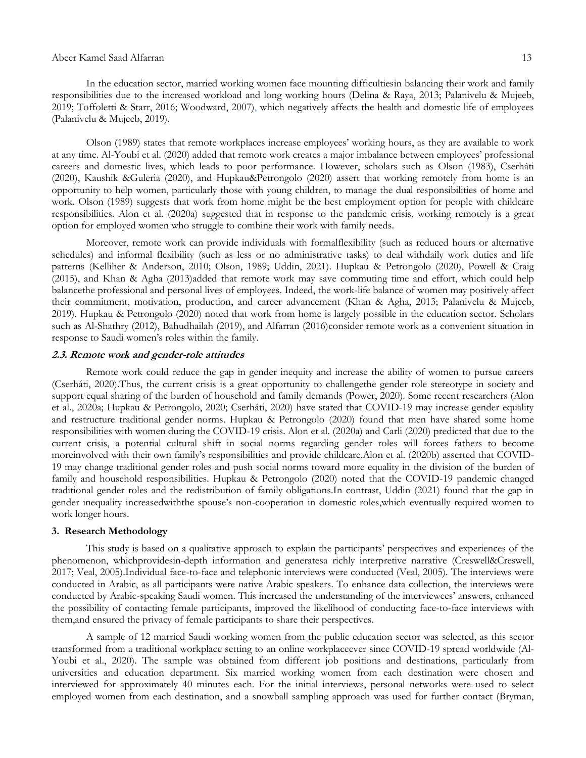#### Abeer Kamel Saad Alfarran 13

In the education sector, married working women face mounting difficultiesin balancing their work and family responsibilities due to the increased workload and long working hours (Delina & Raya, 2013; Palanivelu & Mujeeb, 2019; Toffoletti & Starr, 2016; Woodward, 2007), which negatively affects the health and domestic life of employees (Palanivelu & Mujeeb, 2019).

Olson (1989) states that remote workplaces increase employees" working hours, as they are available to work at any time. Al-Youbi et al. (2020) added that remote work creates a major imbalance between employees" professional careers and domestic lives, which leads to poor performance. However, scholars such as Olson (1983), Cserháti (2020), Kaushik &Guleria (2020), and Hupkau&Petrongolo (2020) assert that working remotely from home is an opportunity to help women, particularly those with young children, to manage the dual responsibilities of home and work. Olson (1989) suggests that work from home might be the best employment option for people with childcare responsibilities. Alon et al. (2020a) suggested that in response to the pandemic crisis, working remotely is a great option for employed women who struggle to combine their work with family needs.

Moreover, remote work can provide individuals with formalflexibility (such as reduced hours or alternative schedules) and informal flexibility (such as less or no administrative tasks) to deal withdaily work duties and life patterns (Kelliher & Anderson, 2010; Olson, 1989; Uddin, 2021). Hupkau & Petrongolo (2020), Powell & Craig (2015), and Khan & Agha (2013)added that remote work may save commuting time and effort, which could help balancethe professional and personal lives of employees. Indeed, the work-life balance of women may positively affect their commitment, motivation, production, and career advancement (Khan & Agha, 2013; Palanivelu & Mujeeb, 2019). Hupkau & Petrongolo (2020) noted that work from home is largely possible in the education sector. Scholars such as Al-Shathry (2012), Bahudhailah (2019), and Alfarran (2016)consider remote work as a convenient situation in response to Saudi women"s roles within the family.

### **2.3. Remote work and gender-role attitudes**

Remote work could reduce the gap in gender inequity and increase the ability of women to pursue careers (Cserháti, 2020).Thus, the current crisis is a great opportunity to challengethe gender role stereotype in society and support equal sharing of the burden of household and family demands (Power, 2020). Some recent researchers (Alon et al., 2020a; Hupkau & Petrongolo, 2020; Cserháti, 2020) have stated that COVID-19 may increase gender equality and restructure traditional gender norms. Hupkau & Petrongolo (2020) found that men have shared some home responsibilities with women during the COVID-19 crisis. Alon et al. (2020a) and Carli (2020) predicted that due to the current crisis, a potential cultural shift in social norms regarding gender roles will forces fathers to become moreinvolved with their own family"s responsibilities and provide childcare.Alon et al. (2020b) asserted that COVID-19 may change traditional gender roles and push social norms toward more equality in the division of the burden of family and household responsibilities. Hupkau & Petrongolo (2020) noted that the COVID-19 pandemic changed traditional gender roles and the redistribution of family obligations.In contrast, Uddin (2021) found that the gap in gender inequality increasedwiththe spouse"s non-cooperation in domestic roles,which eventually required women to work longer hours.

### **3. Research Methodology**

This study is based on a qualitative approach to explain the participants" perspectives and experiences of the phenomenon, whichprovidesin-depth information and generatesa richly interpretive narrative (Creswell&Creswell, 2017; Veal, 2005).Individual face-to-face and telephonic interviews were conducted (Veal, 2005). The interviews were conducted in Arabic, as all participants were native Arabic speakers. To enhance data collection, the interviews were conducted by Arabic-speaking Saudi women. This increased the understanding of the interviewees" answers, enhanced the possibility of contacting female participants, improved the likelihood of conducting face-to-face interviews with them,and ensured the privacy of female participants to share their perspectives.

A sample of 12 married Saudi working women from the public education sector was selected, as this sector transformed from a traditional workplace setting to an online workplaceever since COVID-19 spread worldwide (Al-Youbi et al., 2020). The sample was obtained from different job positions and destinations, particularly from universities and education department. Six married working women from each destination were chosen and interviewed for approximately 40 minutes each. For the initial interviews, personal networks were used to select employed women from each destination, and a snowball sampling approach was used for further contact (Bryman,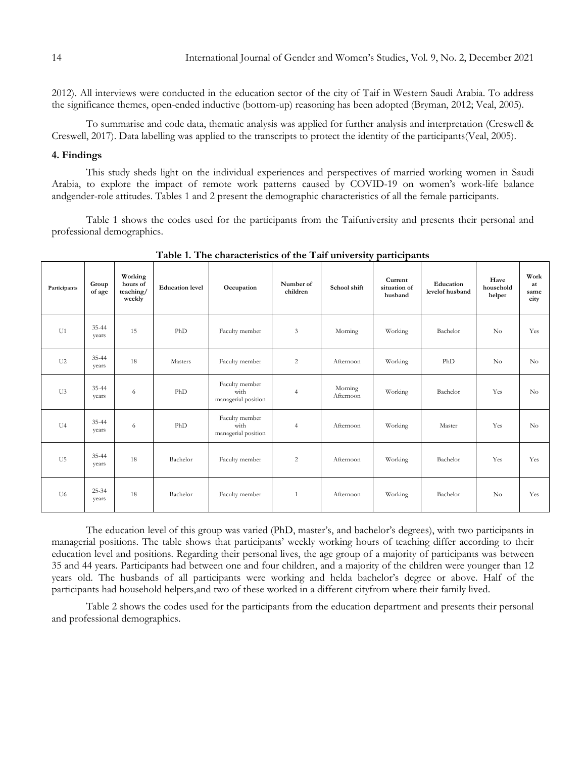2012). All interviews were conducted in the education sector of the city of Taif in Western Saudi Arabia. To address the significance themes, open-ended inductive (bottom-up) reasoning has been adopted (Bryman, 2012; Veal, 2005).

To summarise and code data, thematic analysis was applied for further analysis and interpretation (Creswell & Creswell, 2017). Data labelling was applied to the transcripts to protect the identity of the participants(Veal, 2005).

#### **4. Findings**

This study sheds light on the individual experiences and perspectives of married working women in Saudi Arabia, to explore the impact of remote work patterns caused by COVID-19 on women"s work-life balance andgender-role attitudes. Tables 1 and 2 present the demographic characteristics of all the female participants.

Table 1 shows the codes used for the participants from the Taifuniversity and presents their personal and professional demographics.

| Participants   | Group<br>of age    | Working<br>hours of<br>teaching/<br>weekly | <b>Education level</b> | Occupation                                    | Number of<br>children | School shift         | Current<br>situation of<br>husband | Education<br>levelof husband | Have<br>household<br>helper | Work<br>at<br>same<br>city |
|----------------|--------------------|--------------------------------------------|------------------------|-----------------------------------------------|-----------------------|----------------------|------------------------------------|------------------------------|-----------------------------|----------------------------|
| U1             | $35 - 44$<br>years | 15                                         | PhD                    | Faculty member                                | 3                     | Morning              | Working                            | Bachelor                     | N <sub>o</sub>              | Yes                        |
| U <sub>2</sub> | 35-44<br>years     | 18                                         | Masters                | Faculty member                                | $\overline{c}$        | Afternoon            | Working                            | PhD                          | $\rm No$                    | No                         |
| U3             | $35 - 44$<br>years | 6                                          | PhD                    | Faculty member<br>with<br>managerial position | $\overline{4}$        | Morning<br>Afternoon | Working                            | Bachelor                     | Yes                         | No                         |
| U <sub>4</sub> | 35-44<br>years     | 6                                          | PhD                    | Faculty member<br>with<br>managerial position | $\overline{4}$        | Afternoon            | Working                            | Master                       | Yes                         | No                         |
| U <sub>5</sub> | $35 - 44$<br>years | 18                                         | Bachelor               | Faculty member                                | $\overline{c}$        | Afternoon            | Working                            | Bachelor                     | Yes                         | Yes                        |
| U <sub>6</sub> | $25 - 34$<br>years | 18                                         | Bachelor               | Faculty member                                | $\mathbf{1}$          | Afternoon            | Working                            | Bachelor                     | No                          | Yes                        |

**Table 1. The characteristics of the Taif university participants**

The education level of this group was varied (PhD, master's, and bachelor's degrees), with two participants in managerial positions. The table shows that participants" weekly working hours of teaching differ according to their education level and positions. Regarding their personal lives, the age group of a majority of participants was between 35 and 44 years. Participants had between one and four children, and a majority of the children were younger than 12 years old. The husbands of all participants were working and helda bachelor's degree or above. Half of the participants had household helpers,and two of these worked in a different cityfrom where their family lived.

Table 2 shows the codes used for the participants from the education department and presents their personal and professional demographics.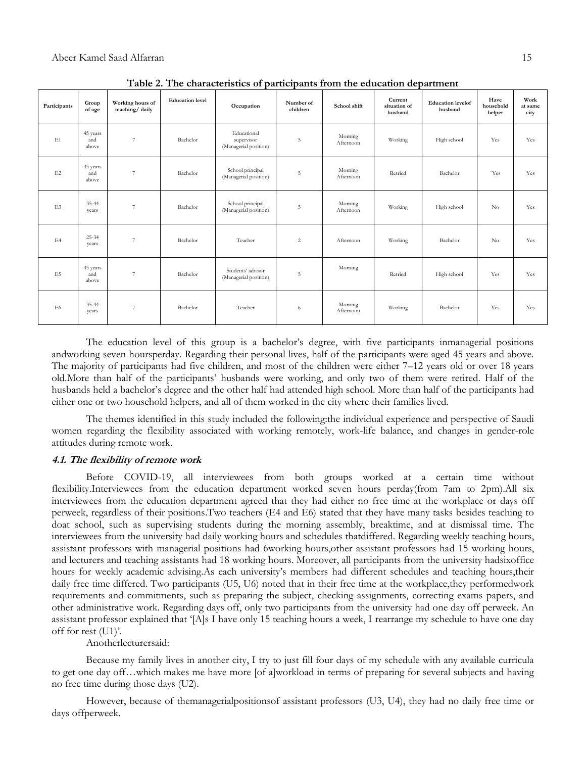| Participants   | Group<br>of age          | Working hours of<br>teaching/daily | <b>Education</b> level | Occupation                                         | Number of<br>children | School shift         | Current<br>situation of<br>husband | <b>Education</b> levelof<br>husband | Have<br>household<br>helper | Work<br>at same<br>city |
|----------------|--------------------------|------------------------------------|------------------------|----------------------------------------------------|-----------------------|----------------------|------------------------------------|-------------------------------------|-----------------------------|-------------------------|
| E1             | 45 years<br>and<br>above | $\overline{7}$                     | Bachelor               | Educational<br>supervisor<br>(Managerial position) | 5                     | Morning<br>Afternoon | Working                            | High school                         | Yes                         | Yes                     |
| E2             | 45 years<br>and<br>above | $7\phantom{.0}$                    | Bachelor               | School principal<br>(Managerial position)          | 5                     | Morning<br>Afternoon | Retried                            | Bachelor                            | 'Yes                        | Yes                     |
| E <sub>3</sub> | 35-44<br>years           | $\overline{7}$                     | Bachelor               | School principal<br>(Managerial position)          | 5                     | Morning<br>Afternoon | Working                            | High school                         | No                          | Yes                     |
| E4             | $25 - 34$<br>years       | $\overline{7}$                     | Bachelor               | Teacher                                            | 2                     | Afternoon            | Working                            | Bachelor                            | No                          | Yes                     |
| E5             | 45 years<br>and<br>above | $\overline{7}$                     | Bachelor               | Students' advisor<br>(Managerial position)         | 5                     | Morning              | Retried                            | High school                         | Yes                         | Yes                     |
| E6             | 35-44<br>years           | $\overline{\mathcal{I}}$           | Bachelor               | Teacher                                            | 6                     | Morning<br>Afternoon | Working                            | Bachelor                            | Yes                         | Yes                     |

**Table 2. The characteristics of participants from the education department**

The education level of this group is a bachelor's degree, with five participants inmanagerial positions andworking seven hoursperday. Regarding their personal lives, half of the participants were aged 45 years and above. The majority of participants had five children, and most of the children were either 7–12 years old or over 18 years old.More than half of the participants" husbands were working, and only two of them were retired. Half of the husbands held a bachelor's degree and the other half had attended high school. More than half of the participants had either one or two household helpers, and all of them worked in the city where their families lived.

The themes identified in this study included the following:the individual experience and perspective of Saudi women regarding the flexibility associated with working remotely, work-life balance, and changes in gender-role attitudes during remote work.

### **4.1. The flexibility of remote work**

Before COVID-19, all interviewees from both groups worked at a certain time without flexibility.Interviewees from the education department worked seven hours perday(from 7am to 2pm).All six interviewees from the education department agreed that they had either no free time at the workplace or days off perweek, regardless of their positions.Two teachers (E4 and E6) stated that they have many tasks besides teaching to doat school, such as supervising students during the morning assembly, breaktime, and at dismissal time. The interviewees from the university had daily working hours and schedules thatdiffered. Regarding weekly teaching hours, assistant professors with managerial positions had 6working hours,other assistant professors had 15 working hours, and lecturers and teaching assistants had 18 working hours. Moreover, all participants from the university hadsixoffice hours for weekly academic advising.As each university"s members had different schedules and teaching hours,their daily free time differed. Two participants (U5, U6) noted that in their free time at the workplace,they performedwork requirements and commitments, such as preparing the subject, checking assignments, correcting exams papers, and other administrative work. Regarding days off, only two participants from the university had one day off perweek. An assistant professor explained that "[A]s I have only 15 teaching hours a week, I rearrange my schedule to have one day off for rest (U1)'.

Anotherlecturersaid:

Because my family lives in another city, I try to just fill four days of my schedule with any available curricula to get one day off…which makes me have more [of a]workload in terms of preparing for several subjects and having no free time during those days (U2).

However, because of themanagerialpositionsof assistant professors (U3, U4), they had no daily free time or days offperweek.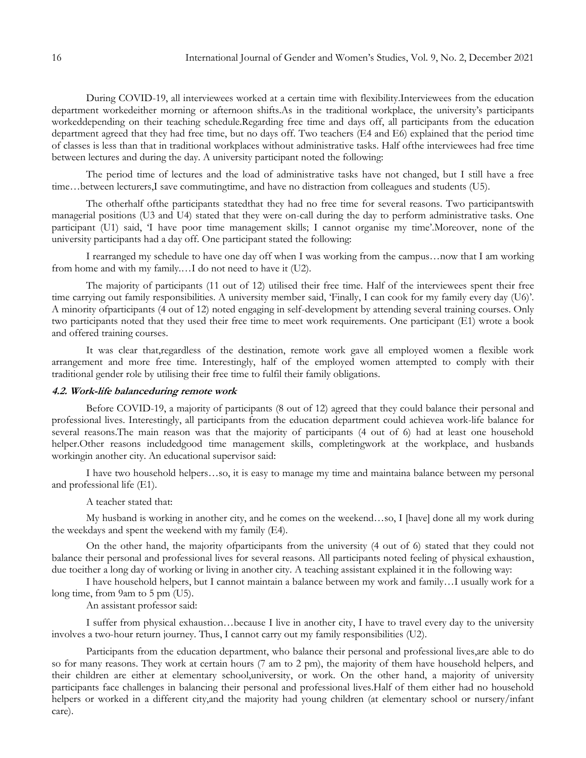During COVID-19, all interviewees worked at a certain time with flexibility.Interviewees from the education department workedeither morning or afternoon shifts.As in the traditional workplace, the university's participants workeddepending on their teaching schedule.Regarding free time and days off, all participants from the education department agreed that they had free time, but no days off. Two teachers (E4 and E6) explained that the period time of classes is less than that in traditional workplaces without administrative tasks. Half ofthe interviewees had free time between lectures and during the day. A university participant noted the following:

The period time of lectures and the load of administrative tasks have not changed, but I still have a free time…between lecturers,I save commutingtime, and have no distraction from colleagues and students (U5).

The otherhalf ofthe participants statedthat they had no free time for several reasons. Two participantswith managerial positions (U3 and U4) stated that they were on-call during the day to perform administrative tasks. One participant (U1) said, 'I have poor time management skills; I cannot organise my time'.Moreover, none of the university participants had a day off. One participant stated the following:

I rearranged my schedule to have one day off when I was working from the campus…now that I am working from home and with my family.…I do not need to have it (U2).

The majority of participants (11 out of 12) utilised their free time. Half of the interviewees spent their free time carrying out family responsibilities. A university member said, 'Finally, I can cook for my family every day (U6)'. A minority ofparticipants (4 out of 12) noted engaging in self-development by attending several training courses. Only two participants noted that they used their free time to meet work requirements. One participant (E1) wrote a book and offered training courses.

It was clear that,regardless of the destination, remote work gave all employed women a flexible work arrangement and more free time. Interestingly, half of the employed women attempted to comply with their traditional gender role by utilising their free time to fulfil their family obligations.

### **4.2. Work-life balanceduring remote work**

Before COVID-19, a majority of participants (8 out of 12) agreed that they could balance their personal and professional lives. Interestingly, all participants from the education department could achievea work-life balance for several reasons.The main reason was that the majority of participants (4 out of 6) had at least one household helper.Other reasons includedgood time management skills, completingwork at the workplace, and husbands workingin another city. An educational supervisor said:

I have two household helpers…so, it is easy to manage my time and maintaina balance between my personal and professional life (E1).

A teacher stated that:

My husband is working in another city, and he comes on the weekend…so, I [have] done all my work during the weekdays and spent the weekend with my family (E4).

On the other hand, the majority ofparticipants from the university (4 out of 6) stated that they could not balance their personal and professional lives for several reasons. All participants noted feeling of physical exhaustion, due toeither a long day of working or living in another city. A teaching assistant explained it in the following way:

I have household helpers, but I cannot maintain a balance between my work and family…I usually work for a long time, from 9am to 5 pm (U5).

An assistant professor said:

I suffer from physical exhaustion…because I live in another city, I have to travel every day to the university involves a two-hour return journey. Thus, I cannot carry out my family responsibilities (U2).

Participants from the education department, who balance their personal and professional lives,are able to do so for many reasons. They work at certain hours (7 am to 2 pm), the majority of them have household helpers, and their children are either at elementary school,university, or work. On the other hand, a majority of university participants face challenges in balancing their personal and professional lives.Half of them either had no household helpers or worked in a different city,and the majority had young children (at elementary school or nursery/infant care).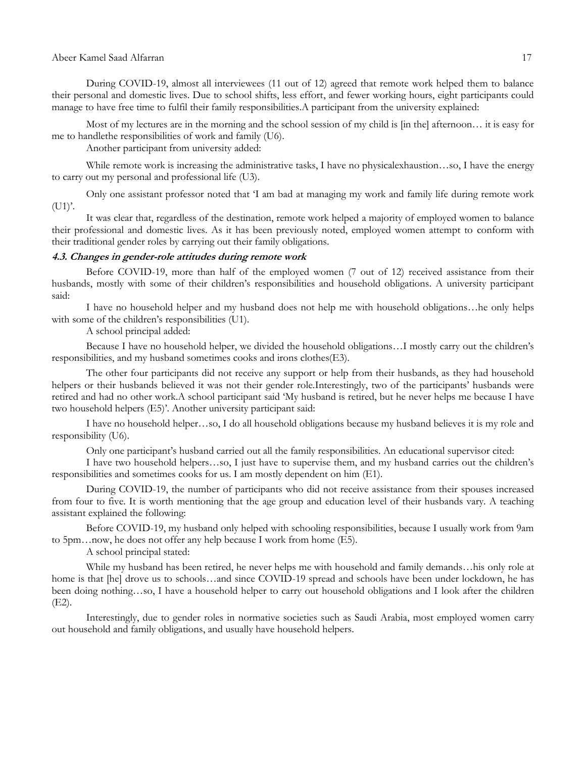### Abeer Kamel Saad Alfarran 17

During COVID-19, almost all interviewees (11 out of 12) agreed that remote work helped them to balance their personal and domestic lives. Due to school shifts, less effort, and fewer working hours, eight participants could manage to have free time to fulfil their family responsibilities.A participant from the university explained:

Most of my lectures are in the morning and the school session of my child is [in the] afternoon… it is easy for me to handlethe responsibilities of work and family (U6).

Another participant from university added:

While remote work is increasing the administrative tasks, I have no physicalexhaustion...so, I have the energy to carry out my personal and professional life (U3).

Only one assistant professor noted that "I am bad at managing my work and family life during remote work  $(U1)$ .

It was clear that, regardless of the destination, remote work helped a majority of employed women to balance their professional and domestic lives. As it has been previously noted, employed women attempt to conform with their traditional gender roles by carrying out their family obligations.

#### **4.3. Changes in gender-role attitudes during remote work**

Before COVID-19, more than half of the employed women (7 out of 12) received assistance from their husbands, mostly with some of their children's responsibilities and household obligations. A university participant said:

I have no household helper and my husband does not help me with household obligations…he only helps with some of the children's responsibilities (U1).

A school principal added:

Because I have no household helper, we divided the household obligations...I mostly carry out the children's responsibilities, and my husband sometimes cooks and irons clothes(E3).

The other four participants did not receive any support or help from their husbands, as they had household helpers or their husbands believed it was not their gender role.Interestingly, two of the participants' husbands were retired and had no other work.A school participant said "My husband is retired, but he never helps me because I have two household helpers (E5)'. Another university participant said:

I have no household helper…so, I do all household obligations because my husband believes it is my role and responsibility (U6).

Only one participant"s husband carried out all the family responsibilities. An educational supervisor cited:

I have two household helpers…so, I just have to supervise them, and my husband carries out the children"s responsibilities and sometimes cooks for us. I am mostly dependent on him (E1).

During COVID-19, the number of participants who did not receive assistance from their spouses increased from four to five. It is worth mentioning that the age group and education level of their husbands vary. A teaching assistant explained the following:

Before COVID-19, my husband only helped with schooling responsibilities, because I usually work from 9am to 5pm…now, he does not offer any help because I work from home (E5).

A school principal stated:

While my husband has been retired, he never helps me with household and family demands…his only role at home is that [he] drove us to schools...and since COVID-19 spread and schools have been under lockdown, he has been doing nothing…so, I have a household helper to carry out household obligations and I look after the children (E2).

Interestingly, due to gender roles in normative societies such as Saudi Arabia, most employed women carry out household and family obligations, and usually have household helpers.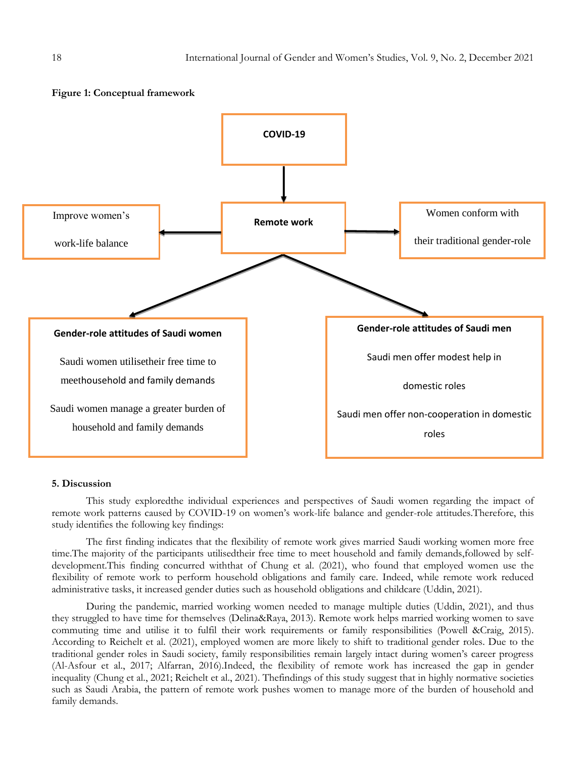

#### **5. Discussion**

This study exploredthe individual experiences and perspectives of Saudi women regarding the impact of remote work patterns caused by COVID-19 on women's work-life balance and gender-role attitudes. Therefore, this study identifies the following key findings:

The first finding indicates that the flexibility of remote work gives married Saudi working women more free time.The majority of the participants utilisedtheir free time to meet household and family demands,followed by selfdevelopment.This finding concurred withthat of Chung et al. (2021), who found that employed women use the flexibility of remote work to perform household obligations and family care. Indeed, while remote work reduced administrative tasks, it increased gender duties such as household obligations and childcare (Uddin, 2021).

During the pandemic, married working women needed to manage multiple duties (Uddin, 2021), and thus they struggled to have time for themselves (Delina&Raya, 2013). Remote work helps married working women to save commuting time and utilise it to fulfil their work requirements or family responsibilities (Powell &Craig, 2015). According to Reichelt et al. (2021), employed women are more likely to shift to traditional gender roles. Due to the traditional gender roles in Saudi society, family responsibilities remain largely intact during women"s career progress (Al-Asfour et al., 2017; Alfarran, 2016).Indeed, the flexibility of remote work has increased the gap in gender inequality (Chung et al., 2021; Reichelt et al., 2021). Thefindings of this study suggest that in highly normative societies such as Saudi Arabia, the pattern of remote work pushes women to manage more of the burden of household and family demands.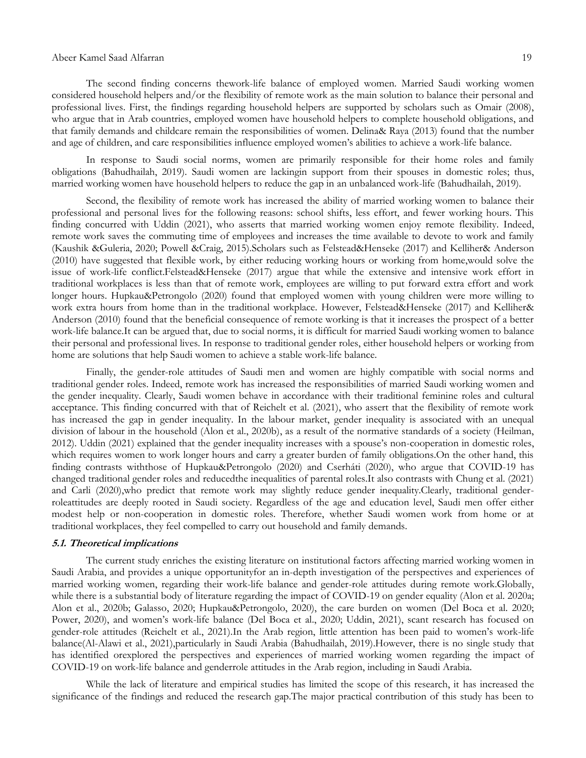#### Abeer Kamel Saad Alfarran 19

The second finding concerns thework-life balance of employed women. Married Saudi working women considered household helpers and/or the flexibility of remote work as the main solution to balance their personal and professional lives. First, the findings regarding household helpers are supported by scholars such as Omair (2008), who argue that in Arab countries, employed women have household helpers to complete household obligations, and that family demands and childcare remain the responsibilities of women. Delina& Raya (2013) found that the number and age of children, and care responsibilities influence employed women"s abilities to achieve a work-life balance.

In response to Saudi social norms, women are primarily responsible for their home roles and family obligations (Bahudhailah, 2019). Saudi women are lackingin support from their spouses in domestic roles; thus, married working women have household helpers to reduce the gap in an unbalanced work-life (Bahudhailah, 2019).

Second, the flexibility of remote work has increased the ability of married working women to balance their professional and personal lives for the following reasons: school shifts, less effort, and fewer working hours. This finding concurred with Uddin (2021), who asserts that married working women enjoy remote flexibility. Indeed, remote work saves the commuting time of employees and increases the time available to devote to work and family (Kaushik &Guleria, 2020; Powell &Craig, 2015).Scholars such as Felstead&Henseke (2017) and Kelliher& Anderson (2010) have suggested that flexible work, by either reducing working hours or working from home,would solve the issue of work-life conflict.Felstead&Henseke (2017) argue that while the extensive and intensive work effort in traditional workplaces is less than that of remote work, employees are willing to put forward extra effort and work longer hours. Hupkau&Petrongolo (2020) found that employed women with young children were more willing to work extra hours from home than in the traditional workplace. However, Felstead&Henseke (2017) and Kelliher& Anderson (2010) found that the beneficial consequence of remote working is that it increases the prospect of a better work-life balance.It can be argued that, due to social norms, it is difficult for married Saudi working women to balance their personal and professional lives. In response to traditional gender roles, either household helpers or working from home are solutions that help Saudi women to achieve a stable work-life balance.

Finally, the gender-role attitudes of Saudi men and women are highly compatible with social norms and traditional gender roles. Indeed, remote work has increased the responsibilities of married Saudi working women and the gender inequality. Clearly, Saudi women behave in accordance with their traditional feminine roles and cultural acceptance. This finding concurred with that of Reichelt et al. (2021), who assert that the flexibility of remote work has increased the gap in gender inequality. In the labour market, gender inequality is associated with an unequal division of labour in the household (Alon et al., 2020b), as a result of the normative standards of a society (Heilman, 2012). Uddin (2021) explained that the gender inequality increases with a spouse"s non-cooperation in domestic roles, which requires women to work longer hours and carry a greater burden of family obligations.On the other hand, this finding contrasts withthose of Hupkau&Petrongolo (2020) and Cserháti (2020), who argue that COVID-19 has changed traditional gender roles and reducedthe inequalities of parental roles.It also contrasts with Chung et al. (2021) and Carli (2020),who predict that remote work may slightly reduce gender inequality.Clearly, traditional genderroleattitudes are deeply rooted in Saudi society. Regardless of the age and education level, Saudi men offer either modest help or non-cooperation in domestic roles. Therefore, whether Saudi women work from home or at traditional workplaces, they feel compelled to carry out household and family demands.

### **5.1. Theoretical implications**

The current study enriches the existing literature on institutional factors affecting married working women in Saudi Arabia, and provides a unique opportunityfor an in-depth investigation of the perspectives and experiences of married working women, regarding their work-life balance and gender-role attitudes during remote work.Globally, while there is a substantial body of literature regarding the impact of COVID-19 on gender equality (Alon et al. 2020a; Alon et al., 2020b; Galasso, 2020; Hupkau&Petrongolo, 2020), the care burden on women (Del Boca et al. 2020; Power, 2020), and women"s work-life balance (Del Boca et al., 2020; Uddin, 2021), scant research has focused on gender-role attitudes (Reichelt et al., 2021).In the Arab region, little attention has been paid to women"s work-life balance(Al-Alawi et al., 2021),particularly in Saudi Arabia (Bahudhailah, 2019).However, there is no single study that has identified orexplored the perspectives and experiences of married working women regarding the impact of COVID-19 on work-life balance and genderrole attitudes in the Arab region, including in Saudi Arabia.

While the lack of literature and empirical studies has limited the scope of this research, it has increased the significance of the findings and reduced the research gap.The major practical contribution of this study has been to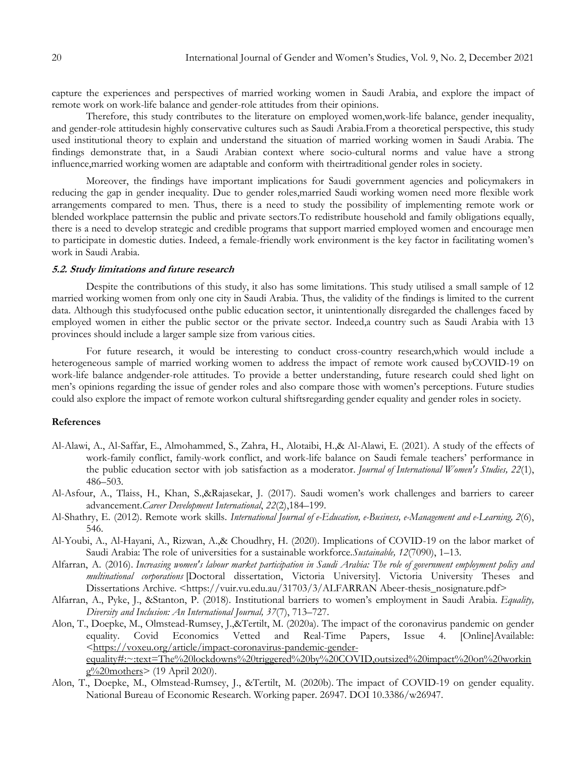capture the experiences and perspectives of married working women in Saudi Arabia, and explore the impact of remote work on work-life balance and gender-role attitudes from their opinions.

Therefore, this study contributes to the literature on employed women,work-life balance, gender inequality, and gender-role attitudesin highly conservative cultures such as Saudi Arabia.From a theoretical perspective, this study used institutional theory to explain and understand the situation of married working women in Saudi Arabia. The findings demonstrate that, in a Saudi Arabian context where socio-cultural norms and value have a strong influence,married working women are adaptable and conform with theirtraditional gender roles in society.

Moreover, the findings have important implications for Saudi government agencies and policymakers in reducing the gap in gender inequality. Due to gender roles,married Saudi working women need more flexible work arrangements compared to men. Thus, there is a need to study the possibility of implementing remote work or blended workplace patternsin the public and private sectors.To redistribute household and family obligations equally, there is a need to develop strategic and credible programs that support married employed women and encourage men to participate in domestic duties. Indeed, a female-friendly work environment is the key factor in facilitating women"s work in Saudi Arabia.

#### **5.2. Study limitations and future research**

Despite the contributions of this study, it also has some limitations. This study utilised a small sample of 12 married working women from only one city in Saudi Arabia. Thus, the validity of the findings is limited to the current data. Although this studyfocused onthe public education sector, it unintentionally disregarded the challenges faced by employed women in either the public sector or the private sector. Indeed,a country such as Saudi Arabia with 13 provinces should include a larger sample size from various cities.

For future research, it would be interesting to conduct cross-country research,which would include a heterogeneous sample of married working women to address the impact of remote work caused byCOVID-19 on work-life balance andgender-role attitudes. To provide a better understanding, future research could shed light on men"s opinions regarding the issue of gender roles and also compare those with women"s perceptions. Future studies could also explore the impact of remote workon cultural shiftsregarding gender equality and gender roles in society.

### **References**

- Al-Alawi, A., Al-Saffar, E., Almohammed, S., Zahra, H., Alotaibi, H.,& Al-Alawi, E. (2021). A study of the effects of work-family conflict, family-work conflict, and work-life balance on Saudi female teachers" performance in the public education sector with job satisfaction as a moderator. *Journal of International Women's Studies, 22*(1), 486–503.
- Al-Asfour, A., Tlaiss, H., Khan, S.,&Rajasekar, J. (2017). Saudi women"s work challenges and barriers to career advancement.*Career Development International*, *22*(2),184–199.
- Al-Shathry, E. (2012). Remote work skills. *International Journal of e-Education, e-Business, e-Management and e-Learning, 2*(6), 546.
- Al-Youbi, A., Al-Hayani, A., Rizwan, A.,& Choudhry, H. (2020). Implications of COVID-19 on the labor market of Saudi Arabia: The role of universities for a sustainable workforce.*Sustainable, 12*(7090), 1–13.
- Alfarran, A. (2016). *Increasing women's labour market participation in Saudi Arabia: The role of government employment policy and multinational corporations* [Doctoral dissertation, Victoria University]. Victoria University Theses and Dissertations Archive. [<https://vuir.vu.edu.au/31703/3/ALFARRAN Abeer-thesis\\_nosignature.pdf>](https://vuir.vu.edu.au/31703/3/ALFARRAN%20Abeer-thesis_nosignature.pdf)
- Alfarran, A., Pyke, J., &Stanton, P. (2018). Institutional barriers to women"s employment in Saudi Arabia. *Equality, Diversity and Inclusion: An International Journal, 37*(7), 713–727.
- Alon, T., Doepke, M., Olmstead-Rumsey, J.,&Tertilt, M. (2020a). The impact of the coronavirus pandemic on gender equality. Covid Economics Vetted and Real-Time Papers, Issue 4. [Online]Available: [<https://voxeu.org/article/impact-coronavirus-pandemic-gender](https://voxeu.org/article/impact-coronavirus-pandemic-gender-equality#:~:text=The%20lockdowns%20triggered%20by%20COVID,outsized%20impact%20on%20working%20mothers)[equality#:~:text=The%20lockdowns%20triggered%20by%20COVID,outsized%20impact%20on%20workin](https://voxeu.org/article/impact-coronavirus-pandemic-gender-equality#:~:text=The%20lockdowns%20triggered%20by%20COVID,outsized%20impact%20on%20working%20mothers) [g%20mothers>](https://voxeu.org/article/impact-coronavirus-pandemic-gender-equality#:~:text=The%20lockdowns%20triggered%20by%20COVID,outsized%20impact%20on%20working%20mothers) (19 April 2020).
- Alon, T., Doepke, M., Olmstead-Rumsey, J., &Tertilt, M. (2020b). The impact of COVID-19 on gender equality. National Bureau of Economic Research. Working paper. 26947. DOI 10.3386/w26947.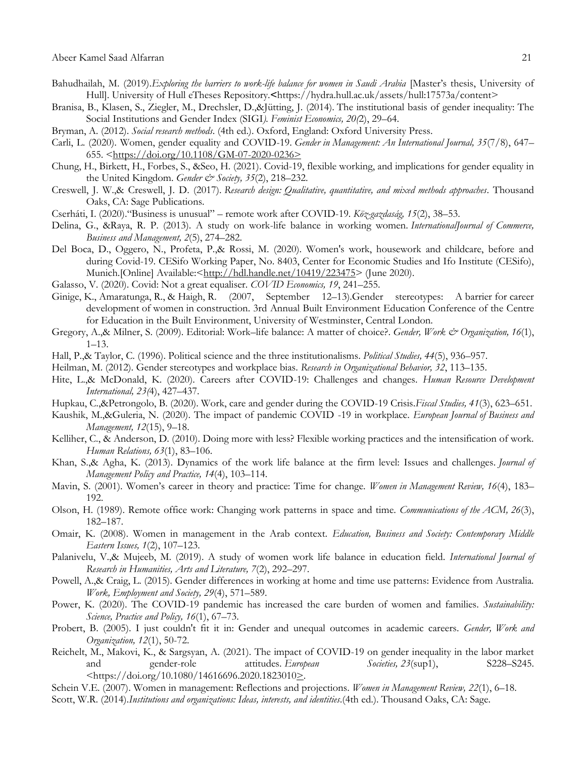- Bahudhailah, M. (2019).*Exploring the barriers to work-life balance for women in Saudi Arabia* [Master"s thesis, University of Hull]. University of Hull eTheses Repository.**<**[https://hydra.hull.ac.uk/assets/hull:17573a/content>](https://hydra.hull.ac.uk/assets/hull:17573a/content)
- Branisa, B., Klasen, S., Ziegler, M., Drechsler, D.,&Jütting, J. (2014). The institutional basis of gender inequality: The Social Institutions and Gender Index (SIGI*). Feminist Economics, 20(*2), 29–64.
- Bryman, A. (2012). *Social research methods*. (4th ed.). Oxford, England: Oxford University Press.
- Carli, L. (2020). Women, gender equality and COVID-19. *Gender in Management: An International Journal, 35*(7/8), 647– 655.  $\frac{\text{https://doi.org/10.1108/GM-07-2020-0236}}{$
- Chung, H., Birkett, H., Forbes, S., &Seo, H. (2021). Covid-19, flexible working, and implications for gender equality in the United Kingdom. *Gender & Society, 35*(2), 218–232.
- Creswell, J. W.,& Creswell, J. D. (2017). *Research design: Qualitative, quantitative, and mixed methods approaches*. Thousand Oaks, CA: Sage Publications.
- Cserháti, I. (2020)."Business is unusual" remote work after COVID-19*. Köz-gazdaság, 15*(2), 38–53.
- Delina, G., &Raya, R. P. (2013). A study on work-life balance in working women. *InternationalJournal of Commerce, Business and Management, 2*(5), 274–282.
- Del Boca, D., Oggero, N., Profeta, P.,& Rossi, M. (2020). Women's work, housework and childcare, before and during Covid-19. CESifo Working Paper, No. 8403, Center for Economic Studies and Ifo Institute (CESifo), Munich.[Online] Available:[<http://hdl.handle.net/10419/223475>](http://hdl.handle.net/10419/223475) (June 2020).
- Galasso, V. (2020). Covid: Not a great equaliser. *COVID Economics, 19*, 241–255.
- Ginige, K., Amaratunga, R., & Haigh, R. (2007, September 12–13).Gender stereotypes: A barrier for career development of women in construction. 3rd Annual Built Environment Education Conference of the Centre for Education in the Built Environment, University of Westminster, Central London.
- Gregory, A.,& Milner, S. (2009). Editorial: Work–life balance: A matter of choice?. *Gender, Work & Organization, 16*(1), 1–13.
- Hall, P.,& Taylor, C. (1996). Political science and the three institutionalisms. *Political Studies, 44*(5), 936–957.
- Heilman, M. (2012). Gender stereotypes and workplace bias. *Research in Organizational Behavior, 32*, 113–135.
- Hite, L.,& McDonald, K. (2020). Careers after COVID-19: Challenges and changes. *Human Resource Development International, 23(*4), 427–437.
- Hupkau, C.,&Petrongolo, B. (2020). Work, care and gender during the COVID-19 Crisis.*Fiscal Studies, 41*(3), 623–651.
- Kaushik, M.,&Guleria, N. (2020). The impact of pandemic COVID -19 in workplace. *European Journal of Business and Management, 12*(15), 9–18.
- Kelliher, C., & Anderson, D. (2010). Doing more with less? Flexible working practices and the intensification of work. *Human Relations, 63*(1), 83–106.
- Khan, S.,& Agha, K. (2013). Dynamics of the work life balance at the firm level: Issues and challenges. *Journal of Management Policy and Practice, 14*(4), 103–114.
- Mavin, S. (2001). Women"s career in theory and practice: Time for change. *Women in Management Review, 16*(4), 183– 192.
- Olson, H. (1989). Remote office work: Changing work patterns in space and time. *Communications of the ACM, 26*(3), 182–187.
- Omair, K. (2008). Women in management in the Arab context. *Education, Business and Society: Contemporary Middle Eastern Issues, 1*(2), 107–123.
- Palanivelu, V.,& Mujeeb, M. (2019). A study of women work life balance in education field. *International Journal of Research in Humanities, Arts and Literature, 7*(2), 292–297.
- Powell, A.,& Craig, L. (2015). Gender differences in working at home and time use patterns: Evidence from Australia*. Work, Employment and Society, 29*(4), 571–589.
- Power, K. (2020). The COVID-19 pandemic has increased the care burden of women and families. *Sustainability: Science, Practice and Policy, 16*(1), 67–73.
- Probert, B. (2005). I just couldn't fit it in: Gender and unequal outcomes in academic careers. *Gender, Work and Organization, 12*(1), 50-72.
- Reichelt, M., Makovi, K., & Sargsyan, A. (2021). The impact of COVID-19 on gender inequality in the labor market and gender-role attitudes. *European Societies, 23*(sup1), S228–S245.  $\frac{\text{th}}{2}$ .//doi.org/10.1080/14616696.2020.1823010>.
- Schein V.E. (2007). Women in management: Reflections and projections. *Women in Management Review, 22*(1), 6–18.
- Scott, W.R. (2014).*Institutions and organizations: Ideas, interests, and identities*.(4th ed.). Thousand Oaks, CA: Sage.